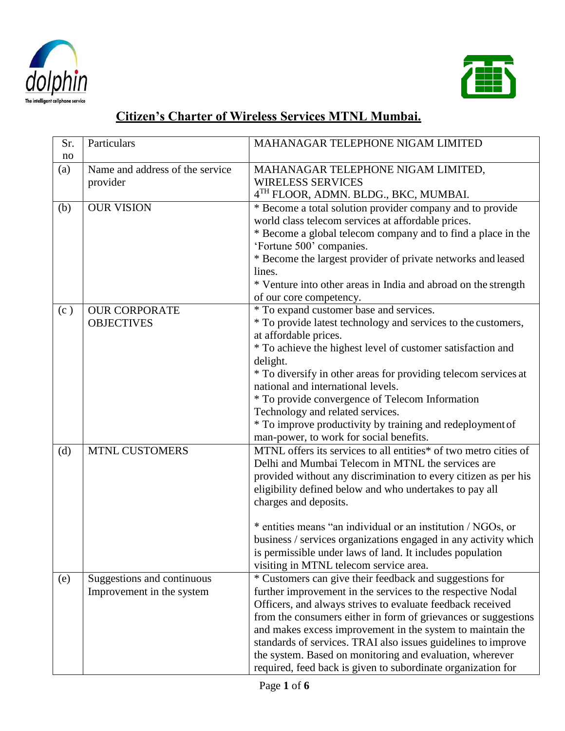



## **Citizen's Charter of Wireless Services MTNL Mumbai.**

| Sr.<br>no | Particulars                                             | MAHANAGAR TELEPHONE NIGAM LIMITED                                                                                                                                                                                                                                                                                                                                                                                                                                                                                      |
|-----------|---------------------------------------------------------|------------------------------------------------------------------------------------------------------------------------------------------------------------------------------------------------------------------------------------------------------------------------------------------------------------------------------------------------------------------------------------------------------------------------------------------------------------------------------------------------------------------------|
| (a)       | Name and address of the service<br>provider             | MAHANAGAR TELEPHONE NIGAM LIMITED,<br><b>WIRELESS SERVICES</b><br>4TH FLOOR, ADMN. BLDG., BKC, MUMBAI.                                                                                                                                                                                                                                                                                                                                                                                                                 |
| (b)       | <b>OUR VISION</b>                                       | * Become a total solution provider company and to provide<br>world class telecom services at affordable prices.<br>* Become a global telecom company and to find a place in the<br>'Fortune 500' companies.<br>* Become the largest provider of private networks and leased<br>lines.<br>* Venture into other areas in India and abroad on the strength<br>of our core competency.                                                                                                                                     |
| (c)       | <b>OUR CORPORATE</b><br><b>OBJECTIVES</b>               | * To expand customer base and services.<br>* To provide latest technology and services to the customers,<br>at affordable prices.<br>* To achieve the highest level of customer satisfaction and<br>delight.<br>* To diversify in other areas for providing telecom services at<br>national and international levels.<br>* To provide convergence of Telecom Information<br>Technology and related services.<br>* To improve productivity by training and redeployment of<br>man-power, to work for social benefits.   |
| (d)       | <b>MTNL CUSTOMERS</b>                                   | MTNL offers its services to all entities* of two metro cities of<br>Delhi and Mumbai Telecom in MTNL the services are<br>provided without any discrimination to every citizen as per his<br>eligibility defined below and who undertakes to pay all<br>charges and deposits.<br>* entities means "an individual or an institution / NGOs, or<br>business / services organizations engaged in any activity which<br>is permissible under laws of land. It includes population<br>visiting in MTNL telecom service area. |
| (e)       | Suggestions and continuous<br>Improvement in the system | * Customers can give their feedback and suggestions for<br>further improvement in the services to the respective Nodal<br>Officers, and always strives to evaluate feedback received<br>from the consumers either in form of grievances or suggestions<br>and makes excess improvement in the system to maintain the<br>standards of services. TRAI also issues guidelines to improve<br>the system. Based on monitoring and evaluation, wherever<br>required, feed back is given to subordinate organization for      |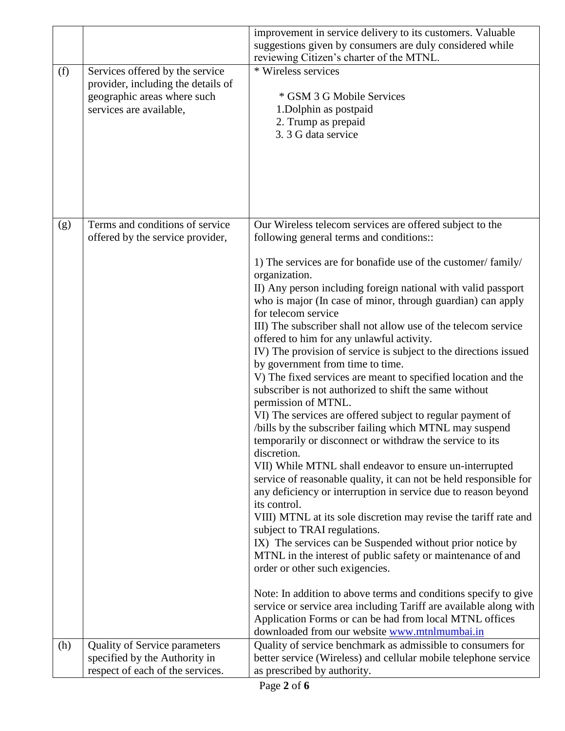|     |                                                                                                                                 | improvement in service delivery to its customers. Valuable<br>suggestions given by consumers are duly considered while<br>reviewing Citizen's charter of the MTNL.                                                                                                                                                                                                                                                                                                                                                                                                                                                                                                                                                                                                                                                                                                                                                                                                                                                                                                                                                                                                                                                                                                                                                                                                                                                                                                                                                                                                                                                |
|-----|---------------------------------------------------------------------------------------------------------------------------------|-------------------------------------------------------------------------------------------------------------------------------------------------------------------------------------------------------------------------------------------------------------------------------------------------------------------------------------------------------------------------------------------------------------------------------------------------------------------------------------------------------------------------------------------------------------------------------------------------------------------------------------------------------------------------------------------------------------------------------------------------------------------------------------------------------------------------------------------------------------------------------------------------------------------------------------------------------------------------------------------------------------------------------------------------------------------------------------------------------------------------------------------------------------------------------------------------------------------------------------------------------------------------------------------------------------------------------------------------------------------------------------------------------------------------------------------------------------------------------------------------------------------------------------------------------------------------------------------------------------------|
| (f) | Services offered by the service<br>provider, including the details of<br>geographic areas where such<br>services are available, | * Wireless services<br>* GSM 3 G Mobile Services<br>1. Dolphin as postpaid<br>2. Trump as prepaid<br>3. 3 G data service                                                                                                                                                                                                                                                                                                                                                                                                                                                                                                                                                                                                                                                                                                                                                                                                                                                                                                                                                                                                                                                                                                                                                                                                                                                                                                                                                                                                                                                                                          |
| (g) | Terms and conditions of service<br>offered by the service provider,                                                             | Our Wireless telecom services are offered subject to the<br>following general terms and conditions::<br>1) The services are for bonafide use of the customer/family/<br>organization.<br>II) Any person including foreign national with valid passport<br>who is major (In case of minor, through guardian) can apply<br>for telecom service<br>III) The subscriber shall not allow use of the telecom service<br>offered to him for any unlawful activity.<br>IV) The provision of service is subject to the directions issued<br>by government from time to time.<br>V) The fixed services are meant to specified location and the<br>subscriber is not authorized to shift the same without<br>permission of MTNL.<br>VI) The services are offered subject to regular payment of<br>/bills by the subscriber failing which MTNL may suspend<br>temporarily or disconnect or withdraw the service to its<br>discretion.<br>VII) While MTNL shall endeavor to ensure un-interrupted<br>service of reasonable quality, it can not be held responsible for<br>any deficiency or interruption in service due to reason beyond<br>its control.<br>VIII) MTNL at its sole discretion may revise the tariff rate and<br>subject to TRAI regulations.<br>IX) The services can be Suspended without prior notice by<br>MTNL in the interest of public safety or maintenance of and<br>order or other such exigencies.<br>Note: In addition to above terms and conditions specify to give<br>service or service area including Tariff are available along with<br>Application Forms or can be had from local MTNL offices |
| (h) | <b>Quality of Service parameters</b>                                                                                            | downloaded from our website www.mtnlmumbai.in<br>Quality of service benchmark as admissible to consumers for                                                                                                                                                                                                                                                                                                                                                                                                                                                                                                                                                                                                                                                                                                                                                                                                                                                                                                                                                                                                                                                                                                                                                                                                                                                                                                                                                                                                                                                                                                      |
|     | specified by the Authority in<br>respect of each of the services.                                                               | better service (Wireless) and cellular mobile telephone service<br>as prescribed by authority.                                                                                                                                                                                                                                                                                                                                                                                                                                                                                                                                                                                                                                                                                                                                                                                                                                                                                                                                                                                                                                                                                                                                                                                                                                                                                                                                                                                                                                                                                                                    |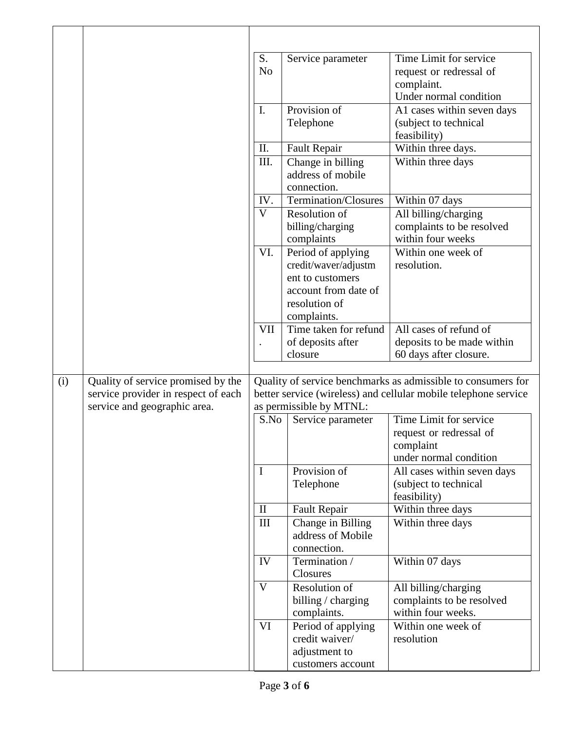|     |                                                                                                           | S.<br>N <sub>o</sub>                                                                                                                                       | Service parameter                                                                                                      | Time Limit for service<br>request or redressal of<br>complaint.<br>Under normal condition |
|-----|-----------------------------------------------------------------------------------------------------------|------------------------------------------------------------------------------------------------------------------------------------------------------------|------------------------------------------------------------------------------------------------------------------------|-------------------------------------------------------------------------------------------|
|     |                                                                                                           | I.                                                                                                                                                         | Provision of<br>Telephone                                                                                              | A1 cases within seven days<br>(subject to technical<br>feasibility)                       |
|     |                                                                                                           | II.                                                                                                                                                        | <b>Fault Repair</b>                                                                                                    | Within three days.                                                                        |
|     |                                                                                                           | III.                                                                                                                                                       | Change in billing<br>address of mobile<br>connection.                                                                  | Within three days                                                                         |
|     |                                                                                                           | IV.                                                                                                                                                        | Termination/Closures                                                                                                   | Within 07 days                                                                            |
|     |                                                                                                           | V                                                                                                                                                          | Resolution of<br>billing/charging<br>complaints                                                                        | All billing/charging<br>complaints to be resolved<br>within four weeks                    |
|     |                                                                                                           | VI.                                                                                                                                                        | Period of applying<br>credit/waver/adjustm<br>ent to customers<br>account from date of<br>resolution of<br>complaints. | Within one week of<br>resolution.                                                         |
|     |                                                                                                           | VII                                                                                                                                                        | Time taken for refund<br>of deposits after<br>closure                                                                  | All cases of refund of<br>deposits to be made within<br>60 days after closure.            |
| (i) | Quality of service promised by the<br>service provider in respect of each<br>service and geographic area. | Quality of service benchmarks as admissible to consumers for<br>better service (wireless) and cellular mobile telephone service<br>as permissible by MTNL: |                                                                                                                        |                                                                                           |
|     |                                                                                                           | S.No                                                                                                                                                       | Service parameter                                                                                                      | Time Limit for service<br>request or redressal of<br>complaint<br>under normal condition  |
|     |                                                                                                           | I                                                                                                                                                          | Provision of<br>Telephone                                                                                              | All cases within seven days<br>(subject to technical<br>feasibility)                      |
|     |                                                                                                           | $\mathbf{I}$                                                                                                                                               | <b>Fault Repair</b>                                                                                                    | Within three days                                                                         |
|     |                                                                                                           | III                                                                                                                                                        | Change in Billing<br>address of Mobile<br>connection.                                                                  | Within three days                                                                         |
|     |                                                                                                           | IV                                                                                                                                                         | Termination /                                                                                                          | Within 07 days                                                                            |
|     |                                                                                                           | V                                                                                                                                                          | Closures<br>Resolution of<br>billing / charging<br>complaints.                                                         | All billing/charging<br>complaints to be resolved<br>within four weeks.                   |
|     |                                                                                                           | VI                                                                                                                                                         | Period of applying<br>credit waiver/<br>adjustment to<br>customers account                                             | Within one week of<br>resolution                                                          |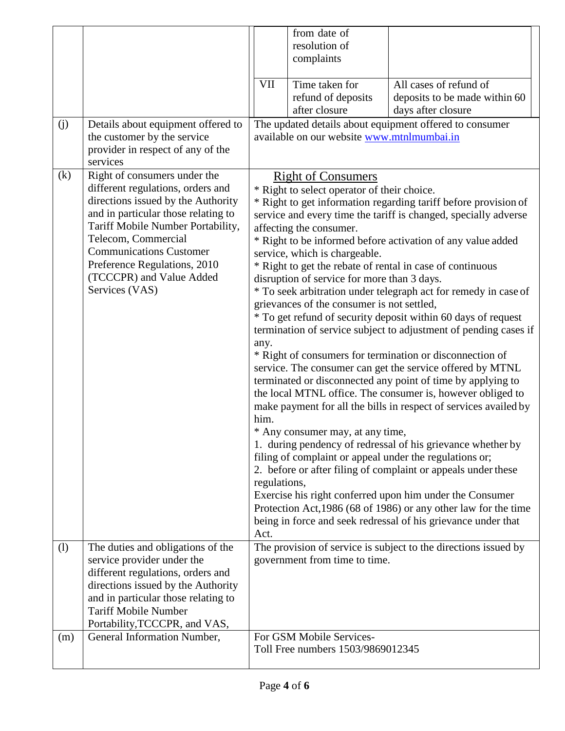|     |                                                                                                                                                                                                                                                                                                                            |                                                                                                                                                                                                                                                                                                                                                                                                                                                                                                                                                                                                                                                                                                                                                                                                                                                                                                                                                                                                                                                                                                                                                                                                                                                                                                                                                                                                                                                                                                      | from date of<br>resolution of                                 |                                                                               |  |
|-----|----------------------------------------------------------------------------------------------------------------------------------------------------------------------------------------------------------------------------------------------------------------------------------------------------------------------------|------------------------------------------------------------------------------------------------------------------------------------------------------------------------------------------------------------------------------------------------------------------------------------------------------------------------------------------------------------------------------------------------------------------------------------------------------------------------------------------------------------------------------------------------------------------------------------------------------------------------------------------------------------------------------------------------------------------------------------------------------------------------------------------------------------------------------------------------------------------------------------------------------------------------------------------------------------------------------------------------------------------------------------------------------------------------------------------------------------------------------------------------------------------------------------------------------------------------------------------------------------------------------------------------------------------------------------------------------------------------------------------------------------------------------------------------------------------------------------------------------|---------------------------------------------------------------|-------------------------------------------------------------------------------|--|
|     |                                                                                                                                                                                                                                                                                                                            |                                                                                                                                                                                                                                                                                                                                                                                                                                                                                                                                                                                                                                                                                                                                                                                                                                                                                                                                                                                                                                                                                                                                                                                                                                                                                                                                                                                                                                                                                                      | complaints                                                    |                                                                               |  |
|     |                                                                                                                                                                                                                                                                                                                            | <b>VII</b>                                                                                                                                                                                                                                                                                                                                                                                                                                                                                                                                                                                                                                                                                                                                                                                                                                                                                                                                                                                                                                                                                                                                                                                                                                                                                                                                                                                                                                                                                           | Time taken for<br>refund of deposits<br>after closure         | All cases of refund of<br>deposits to be made within 60<br>days after closure |  |
| (j) | Details about equipment offered to<br>the customer by the service<br>provider in respect of any of the<br>services                                                                                                                                                                                                         |                                                                                                                                                                                                                                                                                                                                                                                                                                                                                                                                                                                                                                                                                                                                                                                                                                                                                                                                                                                                                                                                                                                                                                                                                                                                                                                                                                                                                                                                                                      | available on our website www.mtnlmumbai.in                    | The updated details about equipment offered to consumer                       |  |
| (k) | Right of consumers under the<br>different regulations, orders and<br>directions issued by the Authority<br>and in particular those relating to<br>Tariff Mobile Number Portability,<br>Telecom, Commercial<br><b>Communications Customer</b><br>Preference Regulations, 2010<br>(TCCCPR) and Value Added<br>Services (VAS) | <b>Right of Consumers</b><br>* Right to select operator of their choice.<br>* Right to get information regarding tariff before provision of<br>service and every time the tariff is changed, specially adverse<br>affecting the consumer.<br>* Right to be informed before activation of any value added<br>service, which is chargeable.<br>* Right to get the rebate of rental in case of continuous<br>disruption of service for more than 3 days.<br>* To seek arbitration under telegraph act for remedy in case of<br>grievances of the consumer is not settled,<br>* To get refund of security deposit within 60 days of request<br>termination of service subject to adjustment of pending cases if<br>any.<br>* Right of consumers for termination or disconnection of<br>service. The consumer can get the service offered by MTNL<br>terminated or disconnected any point of time by applying to<br>the local MTNL office. The consumer is, however obliged to<br>make payment for all the bills in respect of services availed by<br>him.<br>* Any consumer may, at any time,<br>1. during pendency of redressal of his grievance whether by<br>filing of complaint or appeal under the regulations or;<br>2. before or after filing of complaint or appeals under these<br>regulations,<br>Exercise his right conferred upon him under the Consumer<br>Protection Act, 1986 (68 of 1986) or any other law for the time<br>being in force and seek redressal of his grievance under that |                                                               |                                                                               |  |
| (1) | The duties and obligations of the<br>service provider under the<br>different regulations, orders and<br>directions issued by the Authority<br>and in particular those relating to<br><b>Tariff Mobile Number</b><br>Portability, TCCCPR, and VAS,                                                                          | Act.                                                                                                                                                                                                                                                                                                                                                                                                                                                                                                                                                                                                                                                                                                                                                                                                                                                                                                                                                                                                                                                                                                                                                                                                                                                                                                                                                                                                                                                                                                 | government from time to time.                                 | The provision of service is subject to the directions issued by               |  |
| (m) | General Information Number,                                                                                                                                                                                                                                                                                                |                                                                                                                                                                                                                                                                                                                                                                                                                                                                                                                                                                                                                                                                                                                                                                                                                                                                                                                                                                                                                                                                                                                                                                                                                                                                                                                                                                                                                                                                                                      | For GSM Mobile Services-<br>Toll Free numbers 1503/9869012345 |                                                                               |  |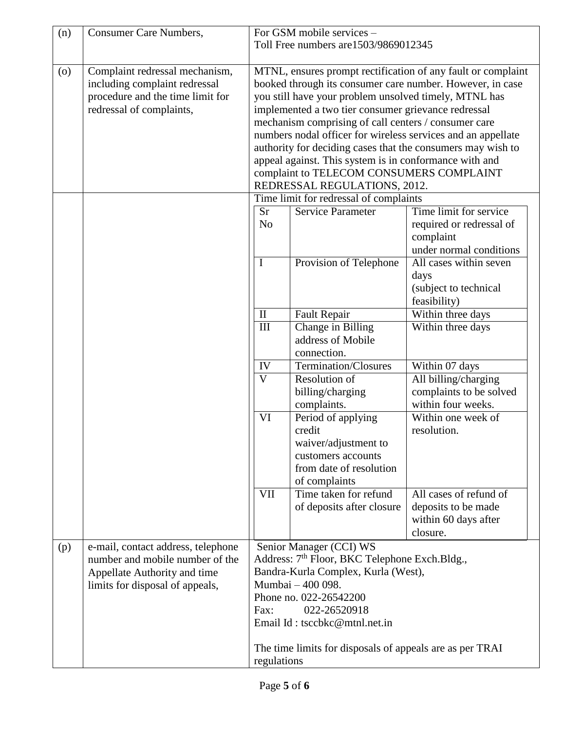|                    |                                                                                                                                          | For GSM mobile services -<br>Toll Free numbers are 1503/9869012345                                                                                                                                                                                                                                                                                                                                                                                                                                                                                                     |                                                                                                                        |                                                                                            |
|--------------------|------------------------------------------------------------------------------------------------------------------------------------------|------------------------------------------------------------------------------------------------------------------------------------------------------------------------------------------------------------------------------------------------------------------------------------------------------------------------------------------------------------------------------------------------------------------------------------------------------------------------------------------------------------------------------------------------------------------------|------------------------------------------------------------------------------------------------------------------------|--------------------------------------------------------------------------------------------|
| $\left( 0 \right)$ | Complaint redressal mechanism,<br>including complaint redressal<br>procedure and the time limit for<br>redressal of complaints,          | MTNL, ensures prompt rectification of any fault or complaint<br>booked through its consumer care number. However, in case<br>you still have your problem unsolved timely, MTNL has<br>implemented a two tier consumer grievance redressal<br>mechanism comprising of call centers / consumer care<br>numbers nodal officer for wireless services and an appellate<br>authority for deciding cases that the consumers may wish to<br>appeal against. This system is in conformance with and<br>complaint to TELECOM CONSUMERS COMPLAINT<br>REDRESSAL REGULATIONS, 2012. |                                                                                                                        |                                                                                            |
|                    |                                                                                                                                          | <b>Sr</b><br>N <sub>o</sub>                                                                                                                                                                                                                                                                                                                                                                                                                                                                                                                                            | Time limit for redressal of complaints<br><b>Service Parameter</b>                                                     | Time limit for service<br>required or redressal of<br>complaint<br>under normal conditions |
|                    |                                                                                                                                          | $\mathbf I$                                                                                                                                                                                                                                                                                                                                                                                                                                                                                                                                                            | Provision of Telephone                                                                                                 | All cases within seven<br>days<br>(subject to technical<br>feasibility)                    |
|                    |                                                                                                                                          | $\mathbf{I}$<br>$\overline{III}$                                                                                                                                                                                                                                                                                                                                                                                                                                                                                                                                       | <b>Fault Repair</b><br>Change in Billing<br>address of Mobile<br>connection.                                           | Within three days<br>Within three days                                                     |
|                    |                                                                                                                                          | IV<br>$\overline{V}$                                                                                                                                                                                                                                                                                                                                                                                                                                                                                                                                                   | Termination/Closures<br>Resolution of<br>billing/charging<br>complaints.                                               | Within 07 days<br>All billing/charging<br>complaints to be solved<br>within four weeks.    |
|                    |                                                                                                                                          | $\overline{\text{VI}}$                                                                                                                                                                                                                                                                                                                                                                                                                                                                                                                                                 | Period of applying<br>credit<br>waiver/adjustment to<br>customers accounts<br>from date of resolution<br>of complaints | Within one week of<br>resolution.                                                          |
|                    |                                                                                                                                          | $\overline{\text{VII}}$                                                                                                                                                                                                                                                                                                                                                                                                                                                                                                                                                | Time taken for refund<br>of deposits after closure                                                                     | All cases of refund of<br>deposits to be made<br>within 60 days after<br>closure.          |
| (p)                | e-mail, contact address, telephone<br>number and mobile number of the<br>Appellate Authority and time<br>limits for disposal of appeals, | Senior Manager (CCI) WS<br>Address: 7 <sup>th</sup> Floor, BKC Telephone Exch.Bldg.,<br>Bandra-Kurla Complex, Kurla (West),<br>Mumbai - 400 098.<br>Phone no. 022-26542200<br>022-26520918<br>Fax:<br>Email Id: tsccbkc@mtnl.net.in<br>The time limits for disposals of appeals are as per TRAI<br>regulations                                                                                                                                                                                                                                                         |                                                                                                                        |                                                                                            |